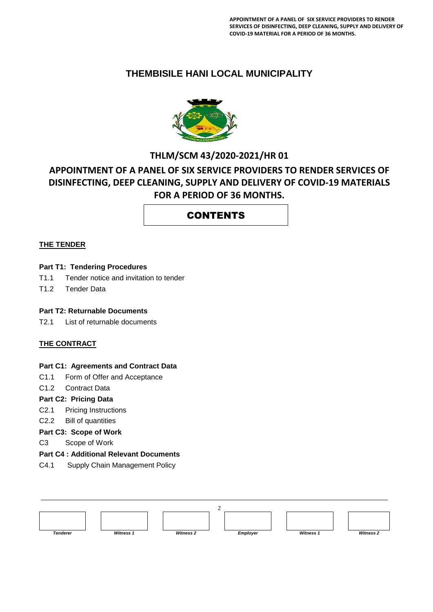### **THEMBISILE HANI LOCAL MUNICIPALITY**



## **THLM/SCM 43/2020-2021/HR 01 APPOINTMENT OF A PANEL OF SIX SERVICE PROVIDERS TO RENDER SERVICES OF DISINFECTING, DEEP CLEANING, SUPPLY AND DELIVERY OF COVID-19 MATERIALS FOR A PERIOD OF 36 MONTHS.**

### CONTENTS

#### **THE TENDER**

#### **Part T1: Tendering Procedures**

- T1.1 Tender notice and invitation to tender
- T1.2 Tender Data

#### **Part T2: Returnable Documents**

T2.1 List of returnable documents

#### **THE CONTRACT**

#### **Part C1: Agreements and Contract Data**

- C1.1 Form of Offer and Acceptance
- C1.2 Contract Data

#### **Part C2: Pricing Data**

- C2.1 Pricing Instructions
- C2.2 Bill of quantities
- **Part C3: Scope of Work**

C3 Scope of Work

#### **Part C4 : Additional Relevant Documents**

C4.1 Supply Chain Management Policy

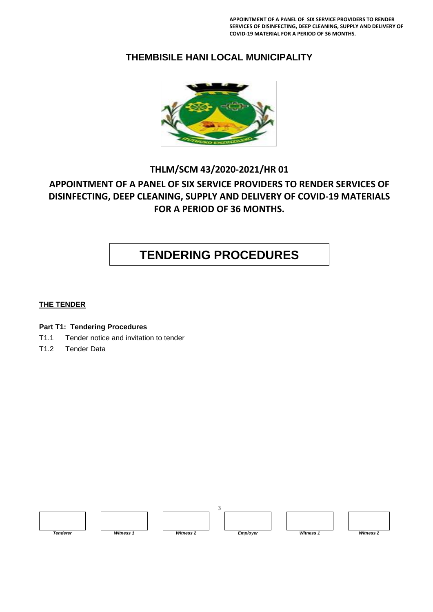### **THEMBISILE HANI LOCAL MUNICIPALITY**



### **THLM/SCM 43/2020-2021/HR 01**

### **APPOINTMENT OF A PANEL OF SIX SERVICE PROVIDERS TO RENDER SERVICES OF DISINFECTING, DEEP CLEANING, SUPPLY AND DELIVERY OF COVID-19 MATERIALS FOR A PERIOD OF 36 MONTHS.**

# **TENDERING PROCEDURES**

#### **THE TENDER**

#### **Part T1: Tendering Procedures**

- T1.1 Tender notice and invitation to tender
- T1.2 Tender Data

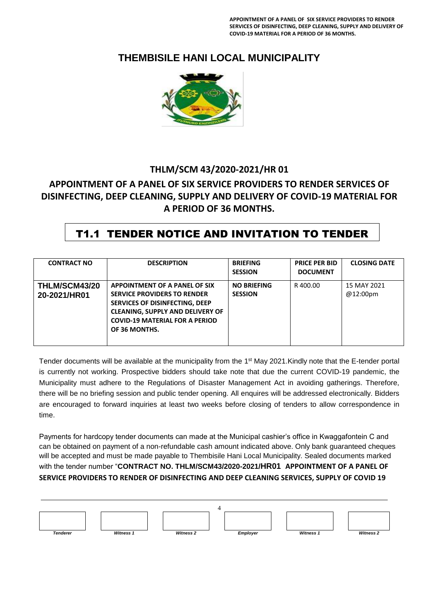**APPOINTMENT OF A PANEL OF SIX SERVICE PROVIDERS TO RENDER SERVICES OF DISINFECTING, DEEP CLEANING, SUPPLY AND DELIVERY OF COVID-19 MATERIAL FOR A PERIOD OF 36 MONTHS.**

### **THEMBISILE HANI LOCAL MUNICIPALITY**



### **THLM/SCM 43/2020-2021/HR 01**

### **APPOINTMENT OF A PANEL OF SIX SERVICE PROVIDERS TO RENDER SERVICES OF DISINFECTING, DEEP CLEANING, SUPPLY AND DELIVERY OF COVID-19 MATERIAL FOR A PERIOD OF 36 MONTHS.**

### T1.1 TENDER NOTICE AND INVITATION TO TENDER

| <b>CONTRACT NO</b>                   | <b>DESCRIPTION</b>                                                                                                                                                                                         | <b>BRIEFING</b><br><b>SESSION</b>    | <b>PRICE PER BID</b><br><b>DOCUMENT</b> | <b>CLOSING DATE</b>     |
|--------------------------------------|------------------------------------------------------------------------------------------------------------------------------------------------------------------------------------------------------------|--------------------------------------|-----------------------------------------|-------------------------|
| <b>THLM/SCM43/20</b><br>20-2021/HR01 | APPOINTMENT OF A PANEL OF SIX<br><b>SERVICE PROVIDERS TO RENDER</b><br>SERVICES OF DISINFECTING, DEEP<br><b>CLEANING, SUPPLY AND DELIVERY OF</b><br><b>COVID-19 MATERIAL FOR A PERIOD</b><br>OF 36 MONTHS. | <b>NO BRIEFING</b><br><b>SESSION</b> | R400.00                                 | 15 MAY 2021<br>@12:00pm |

Tender documents will be available at the municipality from the 1<sup>st</sup> May 2021. Kindly note that the E-tender portal is currently not working. Prospective bidders should take note that due the current COVID-19 pandemic, the Municipality must adhere to the Regulations of Disaster Management Act in avoiding gatherings. Therefore, there will be no briefing session and public tender opening. All enquires will be addressed electronically. Bidders are encouraged to forward inquiries at least two weeks before closing of tenders to allow correspondence in time.

Payments for hardcopy tender documents can made at the Municipal cashier's office in Kwaggafontein C and can be obtained on payment of a non-refundable cash amount indicated above. Only bank guaranteed cheques will be accepted and must be made payable to Thembisile Hani Local Municipality. Sealed documents marked with the tender number "**CONTRACT NO. THLM/SCM43/2020-2021/HR01 APPOINTMENT OF A PANEL OF SERVICE PROVIDERS TO RENDER OF DISINFECTING AND DEEP CLEANING SERVICES, SUPPLY OF COVID 19**